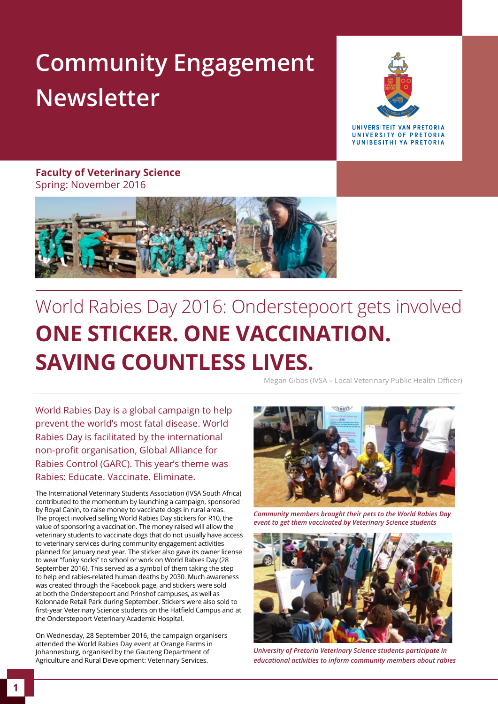## **Community Engagement Newsletter**



**IINIVERSITEIT VAN PRETORIA** UNIVERSITY OF PRETORIA YUNIBESITHI YA PRETORIA

**Faculty of Veterinary Science**  Spring: November 2016



## World Rabies Day 2016: Onderstepoort gets involved **ONE STICKER. ONE VACCINATION. SAVING COUNTLESS LIVES.**

Megan Gibbs (IVSA – Local Veterinary Public Health Officer)

World Rabies Day is a global campaign to help prevent the world's most fatal disease. World Rabies Day is facilitated by the international non-profit organisation, Global Alliance for Rabies Control (GARC). This year's theme was Rabies: Educate. Vaccinate. Eliminate.

The International Veterinary Students Association (IVSA South Africa) contributed to the momentum by launching a campaign, sponsored by Royal Canin, to raise money to vaccinate dogs in rural areas. The project involved selling World Rabies Day stickers for R10, the value of sponsoring a vaccination. The money raised will allow the veterinary students to vaccinate dogs that do not usually have access to veterinary services during community engagement activities planned for January next year. The sticker also gave its owner license to wear "funky socks" to school or work on World Rabies Day (28 September 2016). This served as a symbol of them taking the step to help end rabies-related human deaths by 2030. Much awareness was created through the Facebook page, and stickers were sold at both the Onderstepoort and Prinshof campuses, as well as Kolonnade Retail Park during September. Stickers were also sold to first-year Veterinary Science students on the Hatfield Campus and at the Onderstepoort Veterinary Academic Hospital.

On Wednesday, 28 September 2016, the campaign organisers attended the World Rabies Day event at Orange Farms in Johannesburg, organised by the Gauteng Department of Agriculture and Rural Development: Veterinary Services.



*Community members brought their pets to the World Rabies Day event to get them vaccinated by Veterinary Science students* 



*University of Pretoria Veterinary Science students participate in educational activities to inform community members about rabies*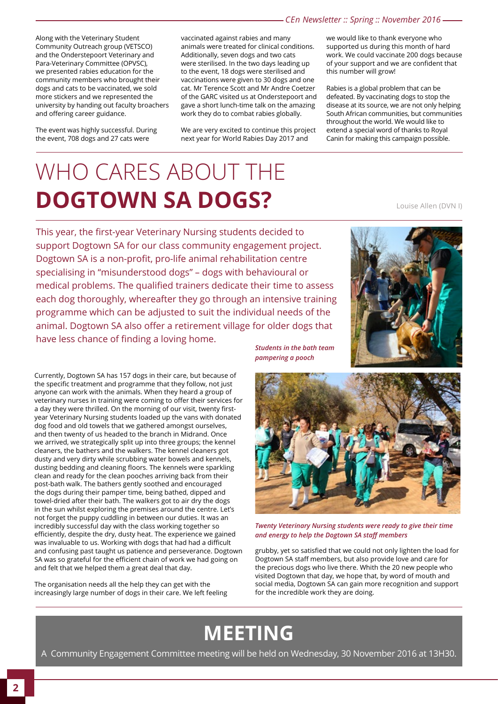Along with the Veterinary Student Community Outreach group (VETSCO) and the Onderstepoort Veterinary and Para-Veterinary Committee (OPVSC), we presented rabies education for the community members who brought their dogs and cats to be vaccinated, we sold more stickers and we represented the university by handing out faculty broachers and offering career guidance.

The event was highly successful. During the event, 708 dogs and 27 cats were

vaccinated against rabies and many animals were treated for clinical conditions. Additionally, seven dogs and two cats were sterilised. In the two days leading up to the event, 18 dogs were sterilised and vaccinations were given to 30 dogs and one cat. Mr Terence Scott and Mr Andre Coetzer of the GARC visited us at Onderstepoort and gave a short lunch-time talk on the amazing work they do to combat rabies globally.

We are very excited to continue this project next year for World Rabies Day 2017 and

we would like to thank everyone who supported us during this month of hard work. We could vaccinate 200 dogs because of your support and we are confident that this number will grow!

Rabies is a global problem that can be defeated. By vaccinating dogs to stop the disease at its source, we are not only helping South African communities, but communities throughout the world. We would like to extend a special word of thanks to Royal Canin for making this campaign possible.

## WHO CARES ABOUT THE **DOGTOWN SA DOGS?** Louise Allen (DVN I)

This year, the first-year Veterinary Nursing students decided to support Dogtown SA for our class community engagement project. Dogtown SA is a non-profit, pro-life animal rehabilitation centre specialising in "misunderstood dogs" – dogs with behavioural or medical problems. The qualified trainers dedicate their time to assess each dog thoroughly, whereafter they go through an intensive training programme which can be adjusted to suit the individual needs of the animal. Dogtown SA also offer a retirement village for older dogs that have less chance of finding a loving home.

Currently, Dogtown SA has 157 dogs in their care, but because of the specific treatment and programme that they follow, not just anyone can work with the animals. When they heard a group of veterinary nurses in training were coming to offer their services for a day they were thrilled. On the morning of our visit, twenty firstyear Veterinary Nursing students loaded up the vans with donated dog food and old towels that we gathered amongst ourselves, and then twenty of us headed to the branch in Midrand. Once we arrived, we strategically split up into three groups; the kennel cleaners, the bathers and the walkers. The kennel cleaners got dusty and very dirty while scrubbing water bowels and kennels, dusting bedding and cleaning floors. The kennels were sparkling clean and ready for the clean pooches arriving back from their post-bath walk. The bathers gently soothed and encouraged the dogs during their pamper time, being bathed, dipped and towel-dried after their bath. The walkers got to air dry the dogs in the sun whilst exploring the premises around the centre. Let's not forget the puppy cuddling in between our duties. It was an incredibly successful day with the class working together so efficiently, despite the dry, dusty heat. The experience we gained was invaluable to us. Working with dogs that had had a difficult and confusing past taught us patience and perseverance. Dogtown SA was so grateful for the efficient chain of work we had going on and felt that we helped them a great deal that day.

The organisation needs all the help they can get with the increasingly large number of dogs in their care. We left feeling *Students in the bath team pampering a pooch*



*Twenty Veterinary Nursing students were ready to give their time and energy to help the Dogtown SA staff members*

grubby, yet so satisfied that we could not only lighten the load for Dogtown SA staff members, but also provide love and care for the precious dogs who live there. Whith the 20 new people who visited Dogtown that day, we hope that, by word of mouth and social media, Dogtown SA can gain more recognition and support for the incredible work they are doing.

### **MEETING**

A Community Engagement Committee meeting will be held on Wednesday, 30 November 2016 at 13H30.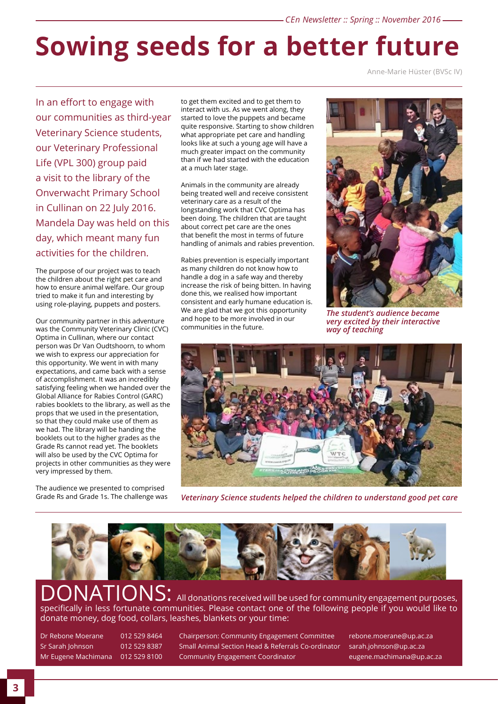# **Sowing seeds for a better future**

Anne-Marie Hüster (BVSc IV)

In an effort to engage with our communities as third-year Veterinary Science students, our Veterinary Professional Life (VPL 300) group paid a visit to the library of the Onverwacht Primary School in Cullinan on 22 July 2016. Mandela Day was held on this day, which meant many fun activities for the children.

The purpose of our project was to teach the children about the right pet care and how to ensure animal welfare. Our group tried to make it fun and interesting by using role-playing, puppets and posters.

Our community partner in this adventure was the Community Veterinary Clinic (CVC) Optima in Cullinan, where our contact person was Dr Van Oudtshoorn, to whom we wish to express our appreciation for this opportunity. We went in with many expectations, and came back with a sense of accomplishment. It was an incredibly satisfying feeling when we handed over the Global Alliance for Rabies Control (GARC) rabies booklets to the library, as well as the props that we used in the presentation, so that they could make use of them as we had. The library will be handing the booklets out to the higher grades as the Grade Rs cannot read yet. The booklets will also be used by the CVC Optima for projects in other communities as they were very impressed by them.

The audience we presented to comprised Grade Rs and Grade 1s. The challenge was to get them excited and to get them to interact with us. As we went along, they started to love the puppets and became quite responsive. Starting to show children what appropriate pet care and handling looks like at such a young age will have a much greater impact on the community than if we had started with the education at a much later stage.

Animals in the community are already being treated well and receive consistent veterinary care as a result of the longstanding work that CVC Optima has been doing. The children that are taught about correct pet care are the ones that benefit the most in terms of future handling of animals and rabies prevention.

Rabies prevention is especially important as many children do not know how to handle a dog in a safe way and thereby increase the risk of being bitten. In having done this, we realised how important consistent and early humane education is. We are glad that we got this opportunity and hope to be more involved in our communities in the future.



*The student's audience became very excited by their interactive way of teaching*



*Veterinary Science students helped the children to understand good pet care*



**ONS:** All donations received will be used for community engagement purposes, specifically in less fortunate communities. Please contact one of the following people if you would like to donate money, dog food, collars, leashes, blankets or your time:

Dr Rebone Moerane 012 529 8464 Chairperson: Community Engagement Committee rebone.moerane@up.ac.za Sr Sarah Johnson 012 529 8387 Small Animal Section Head & Referrals Co-ordinator sarah.johnson@up.ac.za Mr Eugene Machimana 012 529 8100 Community Engagement Coordinator eugene.machimana@up.ac.za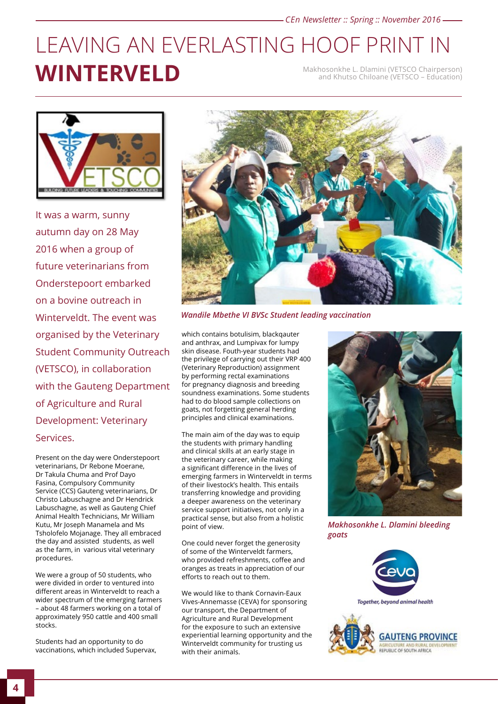### LEAVING AN EVERLASTING HOOF PRINT IN **WINTERVELD** Makhosonkhe L. Dlamini (VETSCO Chairperson) and Khutso Chiloane (VETSCO – Education)



It was a warm, sunny autumn day on 28 May 2016 when a group of future veterinarians from Onderstepoort embarked on a bovine outreach in Winterveldt. The event was organised by the Veterinary Student Community Outreach (VETSCO), in collaboration with the Gauteng Department of Agriculture and Rural Development: Veterinary Services.

Present on the day were Onderstepoort veterinarians, Dr Rebone Moerane, Dr Takula Chuma and Prof Dayo Fasina, Compulsory Community Service (CCS) Gauteng veterinarians, Dr Christo Labuschagne and Dr Hendrick Labuschagne, as well as Gauteng Chief Animal Health Technicians, Mr William Kutu, Mr Joseph Manamela and Ms Tsholofelo Mojanage. They all embraced the day and assisted students, as well as the farm, in various vital veterinary procedures.

We were a group of 50 students, who were divided in order to ventured into different areas in Winterveldt to reach a wider spectrum of the emerging farmers – about 48 farmers working on a total of approximately 950 cattle and 400 small stocks.

Students had an opportunity to do vaccinations, which included Supervax,



*Wandile Mbethe VI BVSc Student leading vaccination*

which contains botulisim, blackqauter and anthrax, and Lumpivax for lumpy skin disease. Fouth-year students had the privilege of carrying out their VRP 400 (Veterinary Reproduction) assignment by performing rectal examinations for pregnancy diagnosis and breeding soundness examinations. Some students had to do blood sample collections on goats, not forgetting general herding principles and clinical examinations.

The main aim of the day was to equip the students with primary handling and clinical skills at an early stage in the veterinary career, while making a significant difference in the lives of emerging farmers in Winterveldt in terms of their livestock's health. This entails transferring knowledge and providing a deeper awareness on the veterinary service support initiatives, not only in a practical sense, but also from a holistic point of view.

One could never forget the generosity of some of the Winterveldt farmers, who provided refreshments, coffee and oranges as treats in appreciation of our efforts to reach out to them.

We would like to thank Cornavin-Eaux Vives-Annemasse (CEVA) for sponsoring our transport, the Department of Agriculture and Rural Development for the exposure to such an extensive experiential learning opportunity and the Winterveldt community for trusting us with their animals.



*Makhosonkhe L. Dlamini bleeding goats*